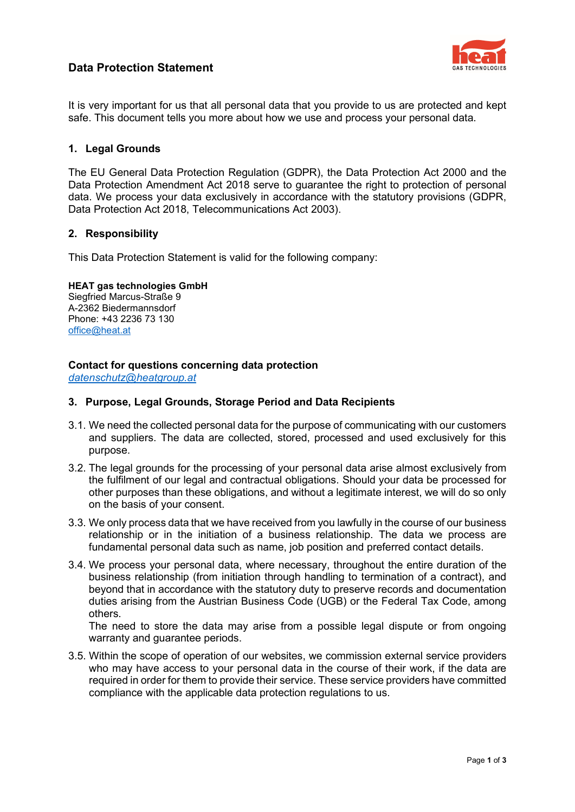# **Data Protection Statement**



It is very important for us that all personal data that you provide to us are protected and kept safe. This document tells you more about how we use and process your personal data.

## **1. Legal Grounds**

The EU General Data Protection Regulation (GDPR), the Data Protection Act 2000 and the Data Protection Amendment Act 2018 serve to guarantee the right to protection of personal data. We process your data exclusively in accordance with the statutory provisions (GDPR, Data Protection Act 2018, Telecommunications Act 2003).

### **2. Responsibility**

This Data Protection Statement is valid for the following company:

### **HEAT gas technologies GmbH**

Siegfried Marcus-Straße 9 A-2362 Biedermannsdorf Phone: +43 2236 73 130 [office@heat.at](mailto:office@heat.at)

## **Contact for questions concerning data protection**

*[datenschutz@heatgroup.at](mailto:datenschutz@heatgroup.at)*

## **3. Purpose, Legal Grounds, Storage Period and Data Recipients**

- 3.1. We need the collected personal data for the purpose of communicating with our customers and suppliers. The data are collected, stored, processed and used exclusively for this purpose.
- 3.2. The legal grounds for the processing of your personal data arise almost exclusively from the fulfilment of our legal and contractual obligations. Should your data be processed for other purposes than these obligations, and without a legitimate interest, we will do so only on the basis of your consent.
- 3.3. We only process data that we have received from you lawfully in the course of our business relationship or in the initiation of a business relationship. The data we process are fundamental personal data such as name, job position and preferred contact details.
- 3.4. We process your personal data, where necessary, throughout the entire duration of the business relationship (from initiation through handling to termination of a contract), and beyond that in accordance with the statutory duty to preserve records and documentation duties arising from the Austrian Business Code (UGB) or the Federal Tax Code, among others.

The need to store the data may arise from a possible legal dispute or from ongoing warranty and guarantee periods.

3.5. Within the scope of operation of our websites, we commission external service providers who may have access to your personal data in the course of their work, if the data are required in order for them to provide their service. These service providers have committed compliance with the applicable data protection regulations to us.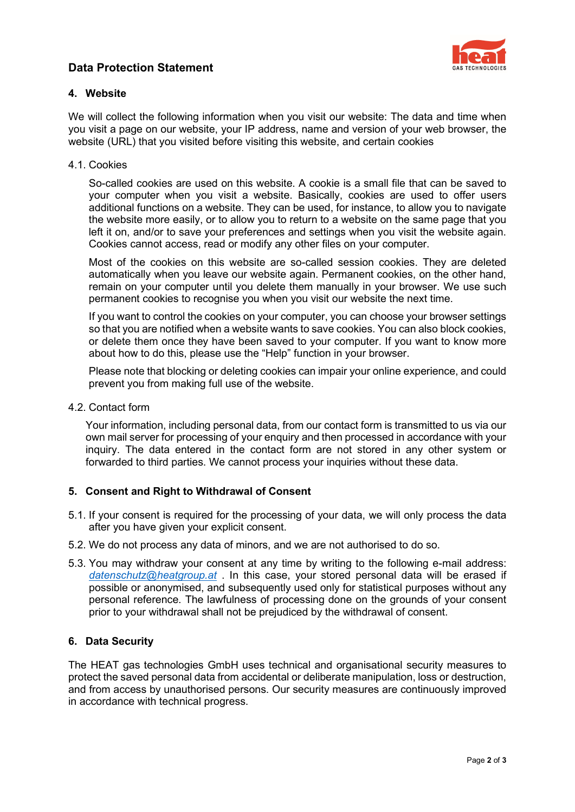## **Data Protection Statement**



## **4. Website**

We will collect the following information when you visit our website: The data and time when you visit a page on our website, your IP address, name and version of your web browser, the website (URL) that you visited before visiting this website, and certain cookies

## 4.1. Cookies

So-called cookies are used on this website. A cookie is a small file that can be saved to your computer when you visit a website. Basically, cookies are used to offer users additional functions on a website. They can be used, for instance, to allow you to navigate the website more easily, or to allow you to return to a website on the same page that you left it on, and/or to save your preferences and settings when you visit the website again. Cookies cannot access, read or modify any other files on your computer.

Most of the cookies on this website are so-called session cookies. They are deleted automatically when you leave our website again. Permanent cookies, on the other hand, remain on your computer until you delete them manually in your browser. We use such permanent cookies to recognise you when you visit our website the next time.

If you want to control the cookies on your computer, you can choose your browser settings so that you are notified when a website wants to save cookies. You can also block cookies, or delete them once they have been saved to your computer. If you want to know more about how to do this, please use the "Help" function in your browser.

Please note that blocking or deleting cookies can impair your online experience, and could prevent you from making full use of the website.

## 4.2. Contact form

Your information, including personal data, from our contact form is transmitted to us via our own mail server for processing of your enquiry and then processed in accordance with your inquiry. The data entered in the contact form are not stored in any other system or forwarded to third parties. We cannot process your inquiries without these data.

## **5. Consent and Right to Withdrawal of Consent**

- 5.1. If your consent is required for the processing of your data, we will only process the data after you have given your explicit consent.
- 5.2. We do not process any data of minors, and we are not authorised to do so.
- 5.3. You may withdraw your consent at any time by writing to the following e-mail address: *[datenschutz@heatgroup.at](mailto:datenschutz@heatgroup.at)* . In this case, your stored personal data will be erased if possible or anonymised, and subsequently used only for statistical purposes without any personal reference. The lawfulness of processing done on the grounds of your consent prior to your withdrawal shall not be prejudiced by the withdrawal of consent.

### **6. Data Security**

The HEAT gas technologies GmbH uses technical and organisational security measures to protect the saved personal data from accidental or deliberate manipulation, loss or destruction, and from access by unauthorised persons. Our security measures are continuously improved in accordance with technical progress.